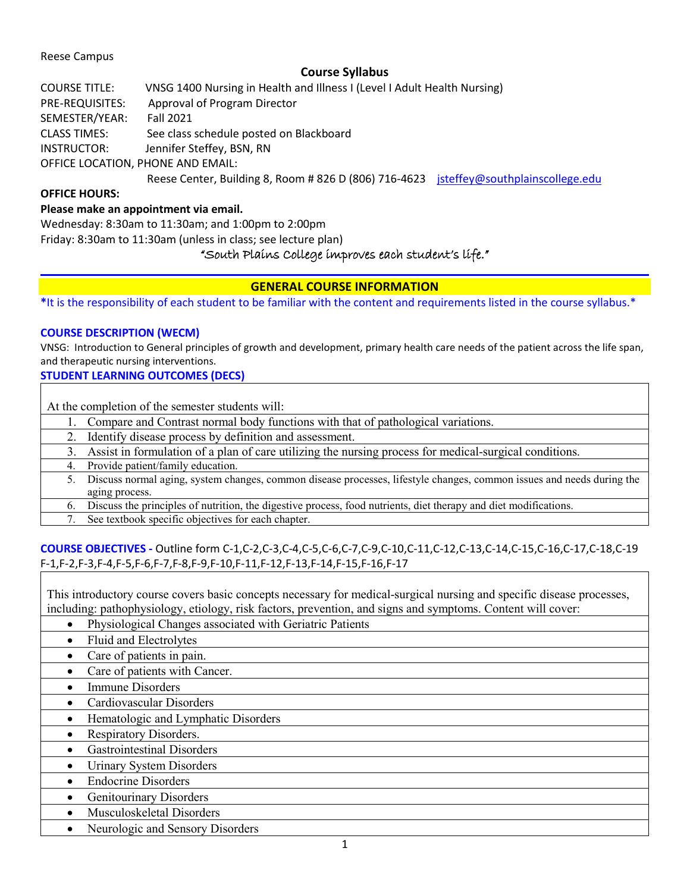# Reese Campus

# **Course Syllabus**

| <b>COURSE TITLE:</b> | VNSG 1400 Nursing in Health and Illness I (Level I Adult Health Nursing)             |  |
|----------------------|--------------------------------------------------------------------------------------|--|
| PRE-REQUISITES:      | Approval of Program Director                                                         |  |
| SEMESTER/YEAR:       | <b>Fall 2021</b>                                                                     |  |
| <b>CLASS TIMES:</b>  | See class schedule posted on Blackboard                                              |  |
| INSTRUCTOR:          | Jennifer Steffey, BSN, RN                                                            |  |
|                      | OFFICE LOCATION, PHONE AND EMAIL:                                                    |  |
|                      | Reese Center, Building 8, Room #826 D (806) 716-4623 jsteffey@southplainscollege.edu |  |

# **OFFICE HOURS:**

# **Please make an appointment via email.**

Wednesday: 8:30am to 11:30am; and 1:00pm to 2:00pm Friday: 8:30am to 11:30am (unless in class; see lecture plan) "South Plains College improves each student's life."

# **GENERAL COURSE INFORMATION**

**\***It is the responsibility of each student to be familiar with the content and requirements listed in the course syllabus.\*

# **COURSE DESCRIPTION (WECM)**

VNSG: Introduction to General principles of growth and development, primary health care needs of the patient across the life span, and therapeutic nursing interventions.

## **STUDENT LEARNING OUTCOMES (DECS)**

| At the completion of the semester students will:                                                                       |  |
|------------------------------------------------------------------------------------------------------------------------|--|
| Compare and Contrast normal body functions with that of pathological variations.                                       |  |
| 2. Identify disease process by definition and assessment.                                                              |  |
| 3. Assist in formulation of a plan of care utilizing the nursing process for medical-surgical conditions.              |  |
| 4. Provide patient/family education.                                                                                   |  |
| Discuss normal aging, system changes, common disease processes, lifestyle changes, common issues and needs during the  |  |
| aging process.                                                                                                         |  |
| Discuss the principles of nutrition, the digestive process, food nutrients, diet therapy and diet modifications.<br>6. |  |
| $7 \quad 0 \quad 1 \quad 1 \quad 1 \quad 1 \quad 1 \quad 0 \quad 1 \quad 1 \quad 1$                                    |  |

See textbook specific objectives for each chapter.

# **COURSE OBJECTIVES -** Outline form C-1,C-2,C-3,C-4,C-5,C-6,C-7,C-9,C-10,C-11,C-12,C-13,C-14,C-15,C-16,C-17,C-18,C-19 F-1,F-2,F-3,F-4,F-5,F-6,F-7,F-8,F-9,F-10,F-11,F-12,F-13,F-14,F-15,F-16,F-17

This introductory course covers basic concepts necessary for medical-surgical nursing and specific disease processes, including: pathophysiology, etiology, risk factors, prevention, and signs and symptoms. Content will cover:

- Physiological Changes associated with Geriatric Patients
- Fluid and Electrolytes
- Care of patients in pain.
- Care of patients with Cancer.
- Immune Disorders
- Cardiovascular Disorders
- Hematologic and Lymphatic Disorders
- Respiratory Disorders.
- Gastrointestinal Disorders
- Urinary System Disorders
- Endocrine Disorders
- Genitourinary Disorders
- Musculoskeletal Disorders
- Neurologic and Sensory Disorders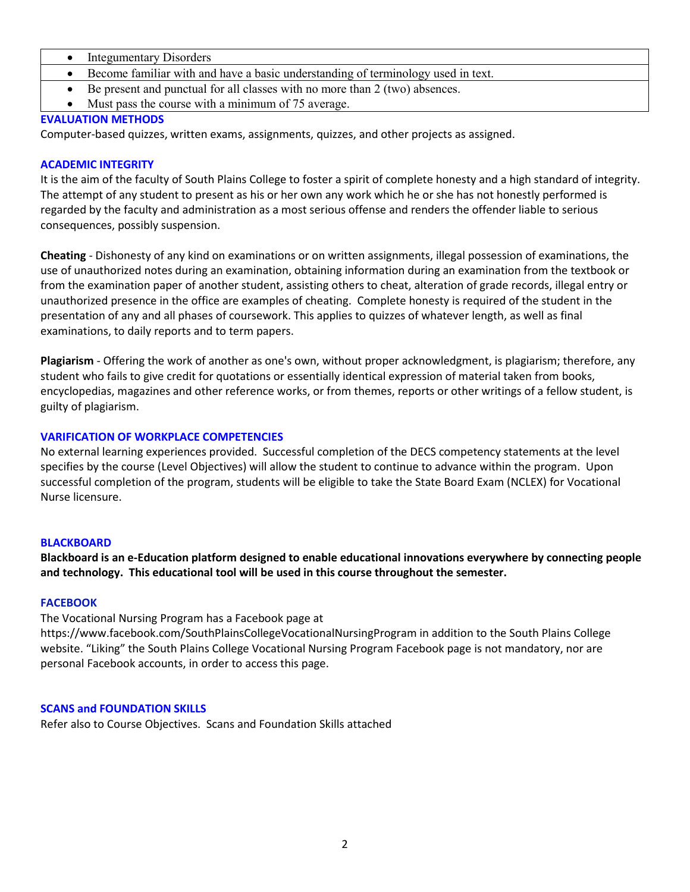- Integumentary Disorders
- Become familiar with and have a basic understanding of terminology used in text.
- Be present and punctual for all classes with no more than 2 (two) absences.
- Must pass the course with a minimum of 75 average.

# **EVALUATION METHODS**

Computer-based quizzes, written exams, assignments, quizzes, and other projects as assigned.

# **ACADEMIC INTEGRITY**

It is the aim of the faculty of South Plains College to foster a spirit of complete honesty and a high standard of integrity. The attempt of any student to present as his or her own any work which he or she has not honestly performed is regarded by the faculty and administration as a most serious offense and renders the offender liable to serious consequences, possibly suspension.

**Cheating** - Dishonesty of any kind on examinations or on written assignments, illegal possession of examinations, the use of unauthorized notes during an examination, obtaining information during an examination from the textbook or from the examination paper of another student, assisting others to cheat, alteration of grade records, illegal entry or unauthorized presence in the office are examples of cheating. Complete honesty is required of the student in the presentation of any and all phases of coursework. This applies to quizzes of whatever length, as well as final examinations, to daily reports and to term papers.

**Plagiarism** - Offering the work of another as one's own, without proper acknowledgment, is plagiarism; therefore, any student who fails to give credit for quotations or essentially identical expression of material taken from books, encyclopedias, magazines and other reference works, or from themes, reports or other writings of a fellow student, is guilty of plagiarism.

# **VARIFICATION OF WORKPLACE COMPETENCIES**

No external learning experiences provided. Successful completion of the DECS competency statements at the level specifies by the course (Level Objectives) will allow the student to continue to advance within the program. Upon successful completion of the program, students will be eligible to take the State Board Exam (NCLEX) for Vocational Nurse licensure.

## **BLACKBOARD**

**Blackboard is an e-Education platform designed to enable educational innovations everywhere by connecting people and technology. This educational tool will be used in this course throughout the semester.** 

## **FACEBOOK**

The Vocational Nursing Program has a Facebook page at https://www.facebook.com/SouthPlainsCollegeVocationalNursingProgram in addition to the South Plains College website. "Liking" the South Plains College Vocational Nursing Program Facebook page is not mandatory, nor are personal Facebook accounts, in order to access this page.

# **SCANS and FOUNDATION SKILLS**

Refer also to Course Objectives. Scans and Foundation Skills attached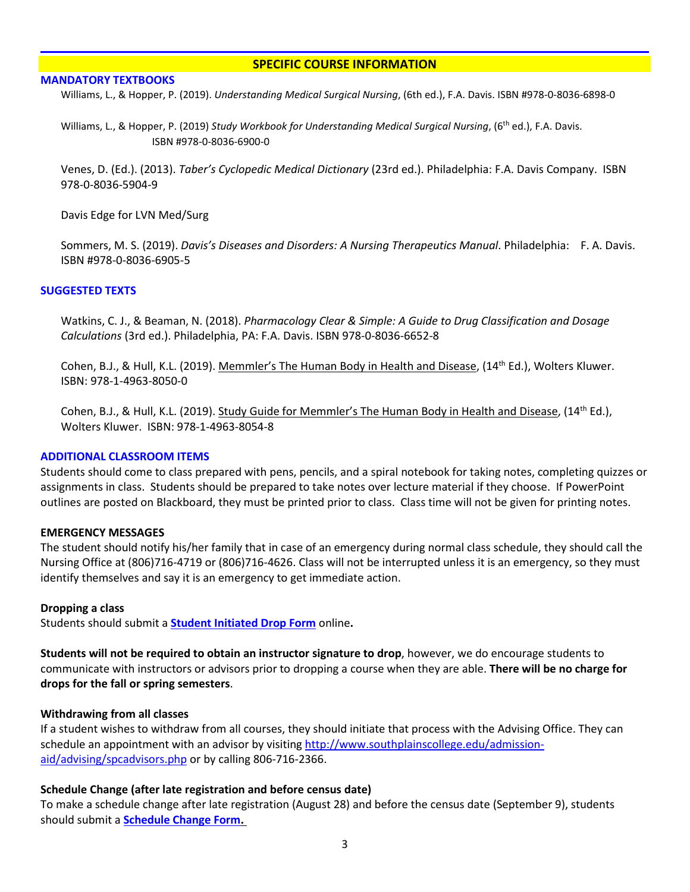## **SPECIFIC COURSE INFORMATION**

### **MANDATORY TEXTBOOKS**

Williams, L., & Hopper, P. (2019). *Understanding Medical Surgical Nursing*, (6th ed.), F.A. Davis. ISBN #978-0-8036-6898-0

Williams, L., & Hopper, P. (2019) *Study Workbook for Understanding Medical Surgical Nursing*, (6th ed.), F.A. Davis. ISBN #978-0-8036-6900-0

Venes, D. (Ed.). (2013). *Taber's Cyclopedic Medical Dictionary* (23rd ed.). Philadelphia: F.A. Davis Company. ISBN 978-0-8036-5904-9

Davis Edge for LVN Med/Surg

Sommers, M. S. (2019). *Davis's Diseases and Disorders: A Nursing Therapeutics Manual*. Philadelphia: F. A. Davis. ISBN #978-0-8036-6905-5

## **SUGGESTED TEXTS**

Watkins, C. J., & Beaman, N. (2018). *Pharmacology Clear & Simple: A Guide to Drug Classification and Dosage Calculations* (3rd ed.). Philadelphia, PA: F.A. Davis. ISBN 978-0-8036-6652-8

Cohen, B.J., & Hull, K.L. (2019). Memmler's The Human Body in Health and Disease, (14th Ed.), Wolters Kluwer. ISBN: 978-1-4963-8050-0

Cohen, B.J., & Hull, K.L. (2019). Study Guide for Memmler's The Human Body in Health and Disease, (14<sup>th</sup> Ed.), Wolters Kluwer. ISBN: 978-1-4963-8054-8

## **ADDITIONAL CLASSROOM ITEMS**

Students should come to class prepared with pens, pencils, and a spiral notebook for taking notes, completing quizzes or assignments in class. Students should be prepared to take notes over lecture material if they choose. If PowerPoint outlines are posted on Blackboard, they must be printed prior to class. Class time will not be given for printing notes.

## **EMERGENCY MESSAGES**

The student should notify his/her family that in case of an emergency during normal class schedule, they should call the Nursing Office at (806)716-4719 or (806)716-4626. Class will not be interrupted unless it is an emergency, so they must identify themselves and say it is an emergency to get immediate action.

### **Dropping a class**

Students should submit a **[Student Initiated Drop Form](https://forms.office.com/Pages/ResponsePage.aspx?id=ZrGRbWrP6UWeIqAmJdCCqRkmPIpp6AVCixFJfcqITt9UODExTUFXS0JOODhJOTlYM0NEV1kzRk9GMS4u)** online**.**

**Students will not be required to obtain an instructor signature to drop**, however, we do encourage students to communicate with instructors or advisors prior to dropping a course when they are able. **There will be no charge for drops for the fall or spring semesters**.

## **Withdrawing from all classes**

If a student wishes to withdraw from all courses, they should initiate that process with the Advising Office. They can schedule an appointment with an advisor by visiting [http://www.southplainscollege.edu/admission](http://www.southplainscollege.edu/admission-aid/advising/spcadvisors.php)[aid/advising/spcadvisors.php](http://www.southplainscollege.edu/admission-aid/advising/spcadvisors.php) or by calling 806-716-2366.

## **Schedule Change (after late registration and before census date)**

To make a schedule change after late registration (August 28) and before the census date (September 9), students should submit a **[Schedule Change Form.](https://forms.office.com/Pages/ResponsePage.aspx?id=ZrGRbWrP6UWeIqAmJdCCqRkmPIpp6AVCixFJfcqITt9UODIyTkRZSkFHVDNSVFRFV0g0T0tVWVAwRi4u)**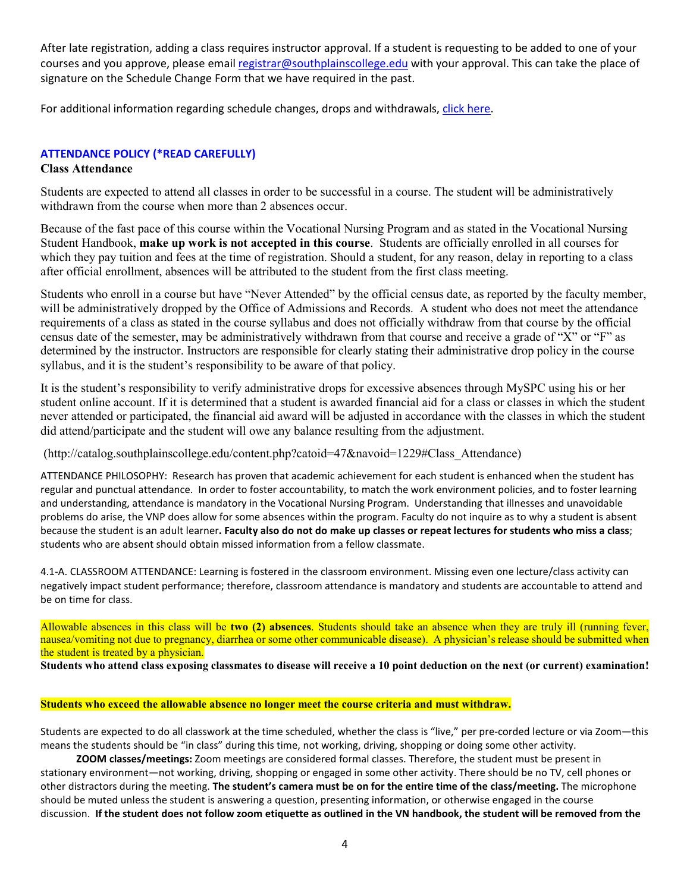After late registration, adding a class requires instructor approval. If a student is requesting to be added to one of your courses and you approve, please email [registrar@southplainscollege.edu](mailto:registrar@southplainscollege.edu) with your approval. This can take the place of signature on the Schedule Change Form that we have required in the past.

For additional information regarding schedule changes, drops and withdrawals, [click here.](http://www.southplainscollege.edu/admission-aid/apply/schedulechanges.php)

# **ATTENDANCE POLICY (\*READ CAREFULLY)**

## **Class Attendance**

Students are expected to attend all classes in order to be successful in a course. The student will be administratively withdrawn from the course when more than 2 absences occur.

Because of the fast pace of this course within the Vocational Nursing Program and as stated in the Vocational Nursing Student Handbook, **make up work is not accepted in this course**. Students are officially enrolled in all courses for which they pay tuition and fees at the time of registration. Should a student, for any reason, delay in reporting to a class after official enrollment, absences will be attributed to the student from the first class meeting.

Students who enroll in a course but have "Never Attended" by the official census date, as reported by the faculty member, will be administratively dropped by the Office of Admissions and Records. A student who does not meet the attendance requirements of a class as stated in the course syllabus and does not officially withdraw from that course by the official census date of the semester, may be administratively withdrawn from that course and receive a grade of "X" or "F" as determined by the instructor. Instructors are responsible for clearly stating their administrative drop policy in the course syllabus, and it is the student's responsibility to be aware of that policy.

It is the student's responsibility to verify administrative drops for excessive absences through MySPC using his or her student online account. If it is determined that a student is awarded financial aid for a class or classes in which the student never attended or participated, the financial aid award will be adjusted in accordance with the classes in which the student did attend/participate and the student will owe any balance resulting from the adjustment.

(http://catalog.southplainscollege.edu/content.php?catoid=47&navoid=1229#Class\_Attendance)

ATTENDANCE PHILOSOPHY: Research has proven that academic achievement for each student is enhanced when the student has regular and punctual attendance. In order to foster accountability, to match the work environment policies, and to foster learning and understanding, attendance is mandatory in the Vocational Nursing Program. Understanding that illnesses and unavoidable problems do arise, the VNP does allow for some absences within the program. Faculty do not inquire as to why a student is absent because the student is an adult learner**. Faculty also do not do make up classes or repeat lectures for students who miss a class**; students who are absent should obtain missed information from a fellow classmate.

4.1-A. CLASSROOM ATTENDANCE: Learning is fostered in the classroom environment. Missing even one lecture/class activity can negatively impact student performance; therefore, classroom attendance is mandatory and students are accountable to attend and be on time for class.

Allowable absences in this class will be **two (2) absences**. Students should take an absence when they are truly ill (running fever, nausea/vomiting not due to pregnancy, diarrhea or some other communicable disease). A physician's release should be submitted when the student is treated by a physician.

**Students who attend class exposing classmates to disease will receive a 10 point deduction on the next (or current) examination!**

### **Students who exceed the allowable absence no longer meet the course criteria and must withdraw.**

Students are expected to do all classwork at the time scheduled, whether the class is "live," per pre-corded lecture or via Zoom—this means the students should be "in class" during this time, not working, driving, shopping or doing some other activity.

 **ZOOM classes/meetings:** Zoom meetings are considered formal classes. Therefore, the student must be present in stationary environment—not working, driving, shopping or engaged in some other activity. There should be no TV, cell phones or other distractors during the meeting. **The student's camera must be on for the entire time of the class/meeting.** The microphone should be muted unless the student is answering a question, presenting information, or otherwise engaged in the course discussion. **If the student does not follow zoom etiquette as outlined in the VN handbook, the student will be removed from the**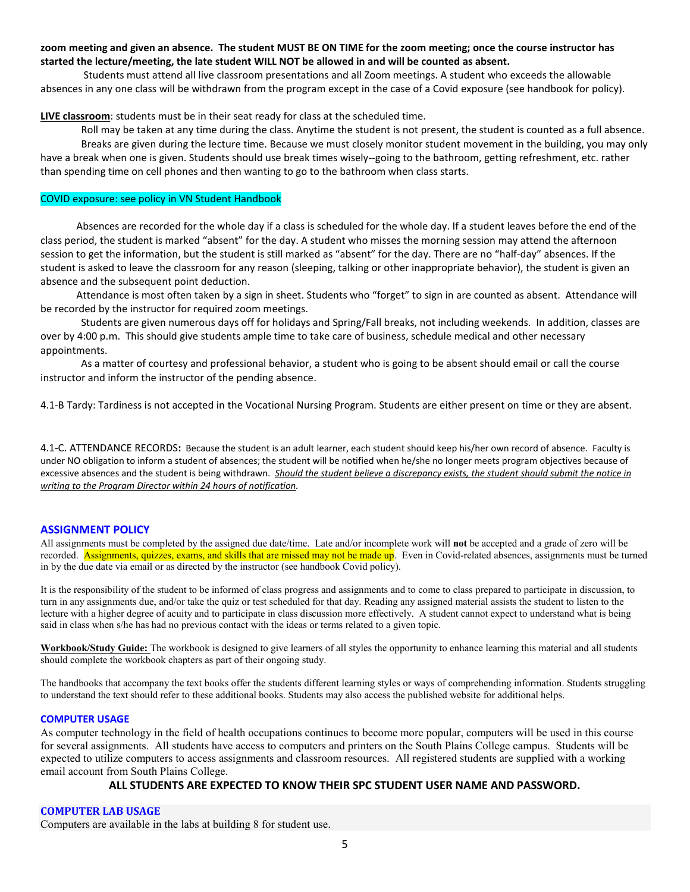### **zoom meeting and given an absence. The student MUST BE ON TIME for the zoom meeting; once the course instructor has started the lecture/meeting, the late student WILL NOT be allowed in and will be counted as absent.**

Students must attend all live classroom presentations and all Zoom meetings. A student who exceeds the allowable absences in any one class will be withdrawn from the program except in the case of a Covid exposure (see handbook for policy).

**LIVE classroom**: students must be in their seat ready for class at the scheduled time.

Roll may be taken at any time during the class. Anytime the student is not present, the student is counted as a full absence. Breaks are given during the lecture time. Because we must closely monitor student movement in the building, you may only have a break when one is given. Students should use break times wisely--going to the bathroom, getting refreshment, etc. rather than spending time on cell phones and then wanting to go to the bathroom when class starts.

### COVID exposure: see policy in VN Student Handbook

 Absences are recorded for the whole day if a class is scheduled for the whole day. If a student leaves before the end of the class period, the student is marked "absent" for the day. A student who misses the morning session may attend the afternoon session to get the information, but the student is still marked as "absent" for the day. There are no "half-day" absences. If the student is asked to leave the classroom for any reason (sleeping, talking or other inappropriate behavior), the student is given an absence and the subsequent point deduction.

 Attendance is most often taken by a sign in sheet. Students who "forget" to sign in are counted as absent. Attendance will be recorded by the instructor for required zoom meetings.

Students are given numerous days off for holidays and Spring/Fall breaks, not including weekends. In addition, classes are over by 4:00 p.m. This should give students ample time to take care of business, schedule medical and other necessary appointments.

As a matter of courtesy and professional behavior, a student who is going to be absent should email or call the course instructor and inform the instructor of the pending absence.

4.1-B Tardy: Tardiness is not accepted in the Vocational Nursing Program. Students are either present on time or they are absent.

4.1-C. ATTENDANCE RECORDS**:** Because the student is an adult learner, each student should keep his/her own record of absence. Faculty is under NO obligation to inform a student of absences; the student will be notified when he/she no longer meets program objectives because of excessive absences and the student is being withdrawn. *Should the student believe a discrepancy exists, the student should submit the notice in writing to the Program Director within 24 hours of notification.*

### **ASSIGNMENT POLICY**

All assignments must be completed by the assigned due date/time. Late and/or incomplete work will **not** be accepted and a grade of zero will be recorded. Assignments, quizzes, exams, and skills that are missed may not be made up. Even in Covid-related absences, assignments must be turned in by the due date via email or as directed by the instructor (see handbook Covid policy).

It is the responsibility of the student to be informed of class progress and assignments and to come to class prepared to participate in discussion, to turn in any assignments due, and/or take the quiz or test scheduled for that day. Reading any assigned material assists the student to listen to the lecture with a higher degree of acuity and to participate in class discussion more effectively. A student cannot expect to understand what is being said in class when s/he has had no previous contact with the ideas or terms related to a given topic.

**Workbook/Study Guide:** The workbook is designed to give learners of all styles the opportunity to enhance learning this material and all students should complete the workbook chapters as part of their ongoing study.

The handbooks that accompany the text books offer the students different learning styles or ways of comprehending information. Students struggling to understand the text should refer to these additional books. Students may also access the published website for additional helps.

#### **COMPUTER USAGE**

As computer technology in the field of health occupations continues to become more popular, computers will be used in this course for several assignments. All students have access to computers and printers on the South Plains College campus. Students will be expected to utilize computers to access assignments and classroom resources. All registered students are supplied with a working email account from South Plains College.

## **ALL STUDENTS ARE EXPECTED TO KNOW THEIR SPC STUDENT USER NAME AND PASSWORD.**

#### **COMPUTER LAB USAGE**

Computers are available in the labs at building 8 for student use.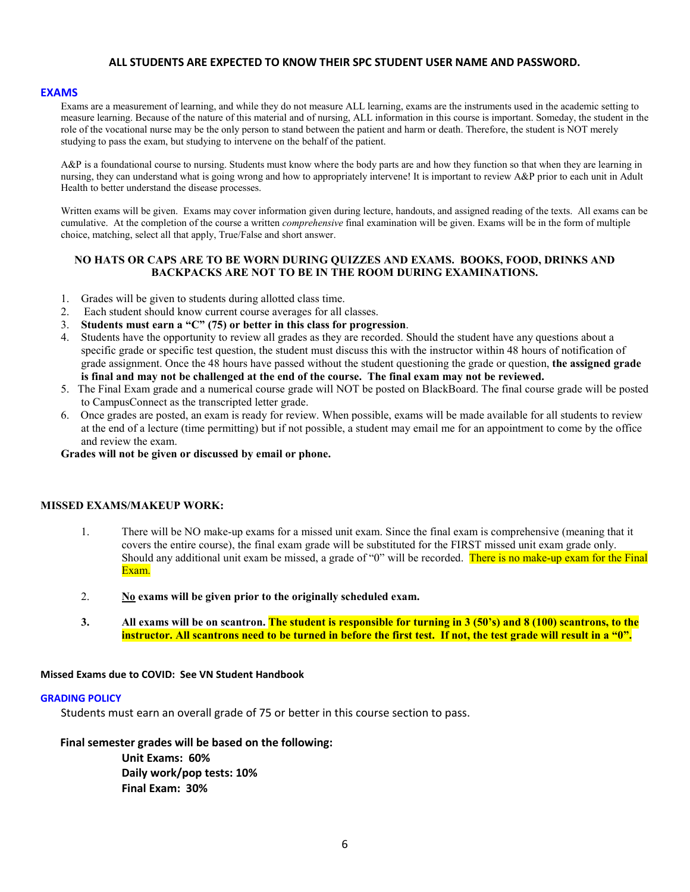### **ALL STUDENTS ARE EXPECTED TO KNOW THEIR SPC STUDENT USER NAME AND PASSWORD.**

### **EXAMS**

Exams are a measurement of learning, and while they do not measure ALL learning, exams are the instruments used in the academic setting to measure learning. Because of the nature of this material and of nursing, ALL information in this course is important. Someday, the student in the role of the vocational nurse may be the only person to stand between the patient and harm or death. Therefore, the student is NOT merely studying to pass the exam, but studying to intervene on the behalf of the patient.

A&P is a foundational course to nursing. Students must know where the body parts are and how they function so that when they are learning in nursing, they can understand what is going wrong and how to appropriately intervene! It is important to review A&P prior to each unit in Adult Health to better understand the disease processes.

Written exams will be given. Exams may cover information given during lecture, handouts, and assigned reading of the texts. All exams can be cumulative. At the completion of the course a written *comprehensive* final examination will be given. Exams will be in the form of multiple choice, matching, select all that apply, True/False and short answer.

### **NO HATS OR CAPS ARE TO BE WORN DURING QUIZZES AND EXAMS. BOOKS, FOOD, DRINKS AND BACKPACKS ARE NOT TO BE IN THE ROOM DURING EXAMINATIONS.**

- 1. Grades will be given to students during allotted class time.
- 2. Each student should know current course averages for all classes.
- 3. **Students must earn a "C" (75) or better in this class for progression**.
- 4. Students have the opportunity to review all grades as they are recorded. Should the student have any questions about a specific grade or specific test question, the student must discuss this with the instructor within 48 hours of notification of grade assignment. Once the 48 hours have passed without the student questioning the grade or question, **the assigned grade is final and may not be challenged at the end of the course. The final exam may not be reviewed.**
- 5. The Final Exam grade and a numerical course grade will NOT be posted on BlackBoard. The final course grade will be posted to CampusConnect as the transcripted letter grade.
- 6. Once grades are posted, an exam is ready for review. When possible, exams will be made available for all students to review at the end of a lecture (time permitting) but if not possible, a student may email me for an appointment to come by the office and review the exam.

**Grades will not be given or discussed by email or phone.**

### **MISSED EXAMS/MAKEUP WORK:**

- 1. There will be NO make-up exams for a missed unit exam. Since the final exam is comprehensive (meaning that it covers the entire course), the final exam grade will be substituted for the FIRST missed unit exam grade only. Should any additional unit exam be missed, a grade of "0" will be recorded. There is no make-up exam for the Final Exam.
- 2. **No exams will be given prior to the originally scheduled exam.**
- **3. All exams will be on scantron. The student is responsible for turning in 3 (50's) and 8 (100) scantrons, to the instructor. All scantrons need to be turned in before the first test. If not, the test grade will result in a "0".**

### **Missed Exams due to COVID: See VN Student Handbook**

### **GRADING POLICY**

Students must earn an overall grade of 75 or better in this course section to pass.

 **Final semester grades will be based on the following:**

**Unit Exams: 60% Daily work/pop tests: 10% Final Exam: 30%**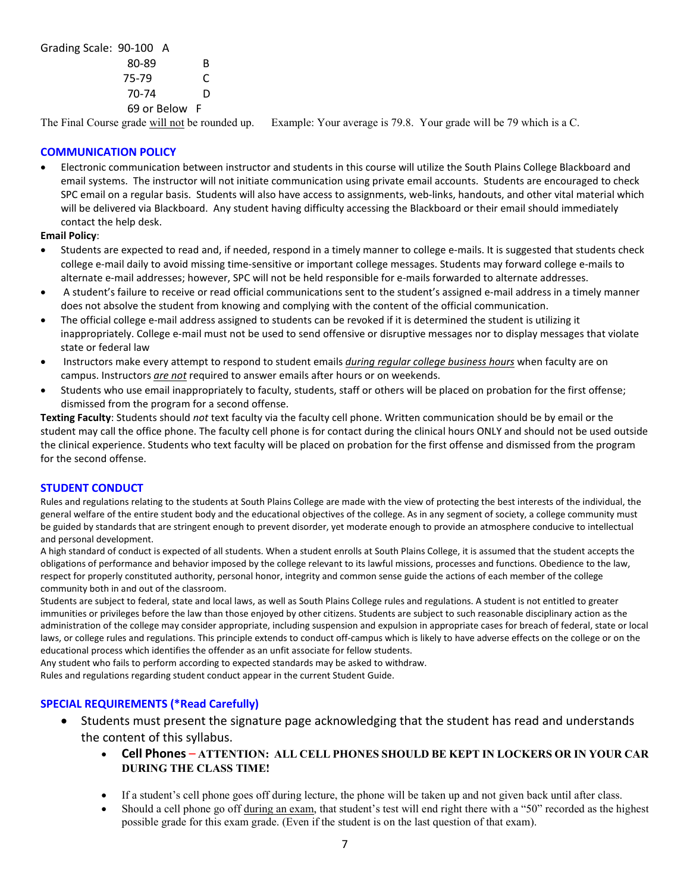Grading Scale: 90-100 A

| 80-89         | R |
|---------------|---|
| 75-79         | C |
| 70-74         | D |
| 69 or Below F |   |

The Final Course grade will not be rounded up. Example: Your average is 79.8. Your grade will be 79 which is a C.

## **COMMUNICATION POLICY**

• Electronic communication between instructor and students in this course will utilize the South Plains College Blackboard and email systems. The instructor will not initiate communication using private email accounts. Students are encouraged to check SPC email on a regular basis. Students will also have access to assignments, web-links, handouts, and other vital material which will be delivered via Blackboard. Any student having difficulty accessing the Blackboard or their email should immediately contact the help desk.

### **Email Policy**:

- Students are expected to read and, if needed, respond in a timely manner to college e-mails. It is suggested that students check college e-mail daily to avoid missing time-sensitive or important college messages. Students may forward college e-mails to alternate e-mail addresses; however, SPC will not be held responsible for e-mails forwarded to alternate addresses.
- A student's failure to receive or read official communications sent to the student's assigned e-mail address in a timely manner does not absolve the student from knowing and complying with the content of the official communication.
- The official college e-mail address assigned to students can be revoked if it is determined the student is utilizing it inappropriately. College e-mail must not be used to send offensive or disruptive messages nor to display messages that violate state or federal law
- Instructors make every attempt to respond to student emails *during regular college business hours* when faculty are on campus. Instructors *are not* required to answer emails after hours or on weekends.
- Students who use email inappropriately to faculty, students, staff or others will be placed on probation for the first offense; dismissed from the program for a second offense.

**Texting Faculty**: Students should *not* text faculty via the faculty cell phone. Written communication should be by email or the student may call the office phone. The faculty cell phone is for contact during the clinical hours ONLY and should not be used outside the clinical experience. Students who text faculty will be placed on probation for the first offense and dismissed from the program for the second offense.

## **STUDENT CONDUCT**

Rules and regulations relating to the students at South Plains College are made with the view of protecting the best interests of the individual, the general welfare of the entire student body and the educational objectives of the college. As in any segment of society, a college community must be guided by standards that are stringent enough to prevent disorder, yet moderate enough to provide an atmosphere conducive to intellectual and personal development.

A high standard of conduct is expected of all students. When a student enrolls at South Plains College, it is assumed that the student accepts the obligations of performance and behavior imposed by the college relevant to its lawful missions, processes and functions. Obedience to the law, respect for properly constituted authority, personal honor, integrity and common sense guide the actions of each member of the college community both in and out of the classroom.

Students are subject to federal, state and local laws, as well as South Plains College rules and regulations. A student is not entitled to greater immunities or privileges before the law than those enjoyed by other citizens. Students are subject to such reasonable disciplinary action as the administration of the college may consider appropriate, including suspension and expulsion in appropriate cases for breach of federal, state or local laws, or college rules and regulations. This principle extends to conduct off-campus which is likely to have adverse effects on the college or on the educational process which identifies the offender as an unfit associate for fellow students.

Any student who fails to perform according to expected standards may be asked to withdraw.

Rules and regulations regarding student conduct appear in the current Student Guide.

## **SPECIAL REQUIREMENTS (\*Read Carefully)**

- Students must present the signature page acknowledging that the student has read and understands the content of this syllabus.
	- **Cell Phones ATTENTION: ALL CELL PHONES SHOULD BE KEPT IN LOCKERS OR IN YOUR CAR DURING THE CLASS TIME!**
	- If a student's cell phone goes off during lecture, the phone will be taken up and not given back until after class.
	- Should a cell phone go off during an exam, that student's test will end right there with a "50" recorded as the highest possible grade for this exam grade. (Even if the student is on the last question of that exam).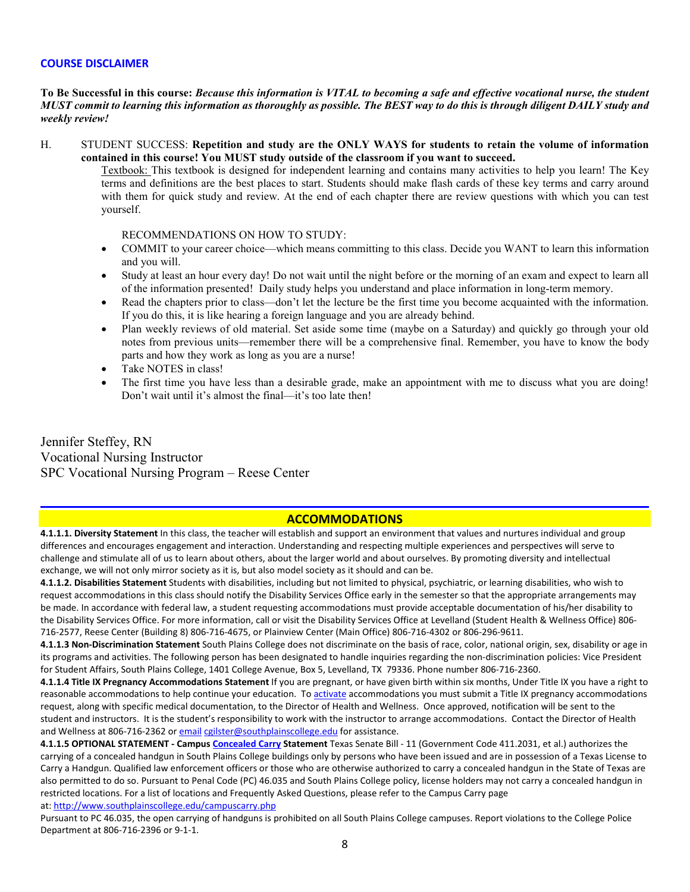### **COURSE DISCLAIMER**

## **To Be Successful in this course:** *Because this information is VITAL to becoming a safe and effective vocational nurse, the student MUST commit to learning this information as thoroughly as possible. The BEST way to do this is through diligent DAILY study and weekly review!*

H. STUDENT SUCCESS: **Repetition and study are the ONLY WAYS for students to retain the volume of information contained in this course! You MUST study outside of the classroom if you want to succeed.** 

Textbook: This textbook is designed for independent learning and contains many activities to help you learn! The Key terms and definitions are the best places to start. Students should make flash cards of these key terms and carry around with them for quick study and review. At the end of each chapter there are review questions with which you can test yourself.

RECOMMENDATIONS ON HOW TO STUDY:

- COMMIT to your career choice—which means committing to this class. Decide you WANT to learn this information and you will.
- Study at least an hour every day! Do not wait until the night before or the morning of an exam and expect to learn all of the information presented! Daily study helps you understand and place information in long-term memory.
- Read the chapters prior to class—don't let the lecture be the first time you become acquainted with the information. If you do this, it is like hearing a foreign language and you are already behind.
- Plan weekly reviews of old material. Set aside some time (maybe on a Saturday) and quickly go through your old notes from previous units—remember there will be a comprehensive final. Remember, you have to know the body parts and how they work as long as you are a nurse!
- Take NOTES in class!
- The first time you have less than a desirable grade, make an appointment with me to discuss what you are doing! Don't wait until it's almost the final—it's too late then!

Jennifer Steffey, RN Vocational Nursing Instructor SPC Vocational Nursing Program – Reese Center

# **ACCOMMODATIONS**

**4.1.1.1. Diversity Statement** In this class, the teacher will establish and support an environment that values and nurtures individual and group differences and encourages engagement and interaction. Understanding and respecting multiple experiences and perspectives will serve to challenge and stimulate all of us to learn about others, about the larger world and about ourselves. By promoting diversity and intellectual exchange, we will not only mirror society as it is, but also model society as it should and can be.

**4.1.1.2. Disabilities Statement** Students with disabilities, including but not limited to physical, psychiatric, or learning disabilities, who wish to request accommodations in this class should notify the Disability Services Office early in the semester so that the appropriate arrangements may be made. In accordance with federal law, a student requesting accommodations must provide acceptable documentation of his/her disability to the Disability Services Office. For more information, call or visit the Disability Services Office at Levelland (Student Health & Wellness Office) 806- 716-2577, Reese Center (Building 8) 806-716-4675, or Plainview Center (Main Office) 806-716-4302 or 806-296-9611.

**4.1.1.3 Non-Discrimination Statement** South Plains College does not discriminate on the basis of race, color, national origin, sex, disability or age in its programs and activities. The following person has been designated to handle inquiries regarding the non-discrimination policies: Vice President for Student Affairs, South Plains College, 1401 College Avenue, Box 5, Levelland, TX 79336. Phone number 806-716-2360.

**4.1.1.4 Title IX Pregnancy Accommodations Statement** If you are pregnant, or have given birth within six months, Under Title IX you have a right to reasonable accommodations to help continue your education. To [activate](http://www.southplainscollege.edu/employees/manualshandbooks/facultyhandbook/sec4.php) accommodations you must submit a Title IX pregnancy accommodations request, along with specific medical documentation, to the Director of Health and Wellness. Once approved, notification will be sent to the student and instructors. It is the student's responsibility to work with the instructor to arrange accommodations. Contact the Director of Health and Wellness at 806-716-2362 or [email](http://www.southplainscollege.edu/employees/manualshandbooks/facultyhandbook/sec4.php) [cgilster@southplainscollege.edu](mailto:cgilster@southplainscollege.edu) for assistance.

**4.1.1.5 OPTIONAL STATEMENT - Campus [Concealed Carry](http://www.southplainscollege.edu/employees/manualshandbooks/facultyhandbook/sec4.php) Statement** Texas Senate Bill - 11 (Government Code 411.2031, et al.) authorizes the carrying of a concealed handgun in South Plains College buildings only by persons who have been issued and are in possession of a Texas License to Carry a Handgun. Qualified law enforcement officers or those who are otherwise authorized to carry a concealed handgun in the State of Texas are also permitted to do so. Pursuant to Penal Code (PC) 46.035 and South Plains College policy, license holders may not carry a concealed handgun in restricted locations. For a list of locations and Frequently Asked Questions, please refer to the Campus Carry page

at: <http://www.southplainscollege.edu/campuscarry.php>

Pursuant to PC 46.035, the open carrying of handguns is prohibited on all South Plains College campuses. Report violations to the College Police Department at 806-716-2396 or 9-1-1.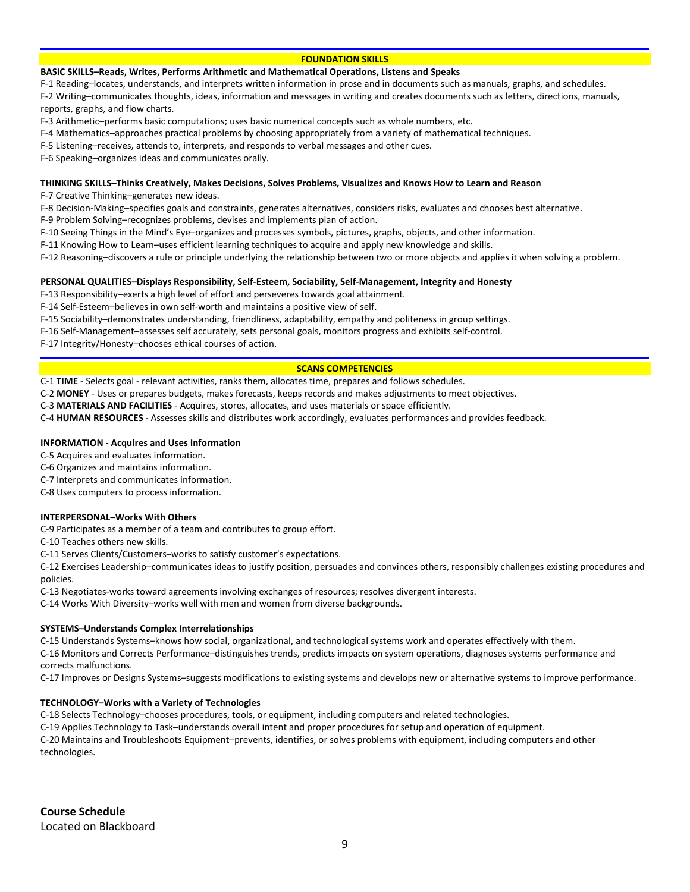### **FOUNDATION SKILLS**

#### **BASIC SKILLS–Reads, Writes, Performs Arithmetic and Mathematical Operations, Listens and Speaks**

F-1 Reading–locates, understands, and interprets written information in prose and in documents such as manuals, graphs, and schedules.

F-2 Writing–communicates thoughts, ideas, information and messages in writing and creates documents such as letters, directions, manuals, reports, graphs, and flow charts.

F-3 Arithmetic–performs basic computations; uses basic numerical concepts such as whole numbers, etc.

F-4 Mathematics–approaches practical problems by choosing appropriately from a variety of mathematical techniques.

F-5 Listening–receives, attends to, interprets, and responds to verbal messages and other cues.

F-6 Speaking–organizes ideas and communicates orally.

#### **THINKING SKILLS–Thinks Creatively, Makes Decisions, Solves Problems, Visualizes and Knows How to Learn and Reason**

F-7 Creative Thinking–generates new ideas.

F-8 Decision-Making–specifies goals and constraints, generates alternatives, considers risks, evaluates and chooses best alternative.

F-9 Problem Solving–recognizes problems, devises and implements plan of action.

F-10 Seeing Things in the Mind's Eye–organizes and processes symbols, pictures, graphs, objects, and other information.

F-11 Knowing How to Learn–uses efficient learning techniques to acquire and apply new knowledge and skills.

F-12 Reasoning–discovers a rule or principle underlying the relationship between two or more objects and applies it when solving a problem.

#### **PERSONAL QUALITIES–Displays Responsibility, Self-Esteem, Sociability, Self-Management, Integrity and Honesty**

F-13 Responsibility–exerts a high level of effort and perseveres towards goal attainment.

F-14 Self-Esteem–believes in own self-worth and maintains a positive view of self.

F-15 Sociability–demonstrates understanding, friendliness, adaptability, empathy and politeness in group settings.

F-16 Self-Management–assesses self accurately, sets personal goals, monitors progress and exhibits self-control.

F-17 Integrity/Honesty–chooses ethical courses of action.

#### **SCANS COMPETENCIES**

C-1 **TIME** - Selects goal - relevant activities, ranks them, allocates time, prepares and follows schedules.

C-2 **MONEY** - Uses or prepares budgets, makes forecasts, keeps records and makes adjustments to meet objectives.

C-3 **MATERIALS AND FACILITIES** - Acquires, stores, allocates, and uses materials or space efficiently.

C-4 **HUMAN RESOURCES** - Assesses skills and distributes work accordingly, evaluates performances and provides feedback.

#### **INFORMATION - Acquires and Uses Information**

C-5 Acquires and evaluates information.

C-6 Organizes and maintains information.

C-7 Interprets and communicates information.

C-8 Uses computers to process information.

#### **INTERPERSONAL–Works With Others**

C-9 Participates as a member of a team and contributes to group effort.

C-10 Teaches others new skills.

C-11 Serves Clients/Customers–works to satisfy customer's expectations.

C-12 Exercises Leadership–communicates ideas to justify position, persuades and convinces others, responsibly challenges existing procedures and policies.

C-13 Negotiates-works toward agreements involving exchanges of resources; resolves divergent interests.

C-14 Works With Diversity–works well with men and women from diverse backgrounds.

#### **SYSTEMS–Understands Complex Interrelationships**

C-15 Understands Systems–knows how social, organizational, and technological systems work and operates effectively with them.

C-16 Monitors and Corrects Performance–distinguishes trends, predicts impacts on system operations, diagnoses systems performance and corrects malfunctions.

C-17 Improves or Designs Systems–suggests modifications to existing systems and develops new or alternative systems to improve performance.

#### **TECHNOLOGY–Works with a Variety of Technologies**

C-18 Selects Technology–chooses procedures, tools, or equipment, including computers and related technologies.

C-19 Applies Technology to Task–understands overall intent and proper procedures for setup and operation of equipment.

C-20 Maintains and Troubleshoots Equipment–prevents, identifies, or solves problems with equipment, including computers and other technologies.